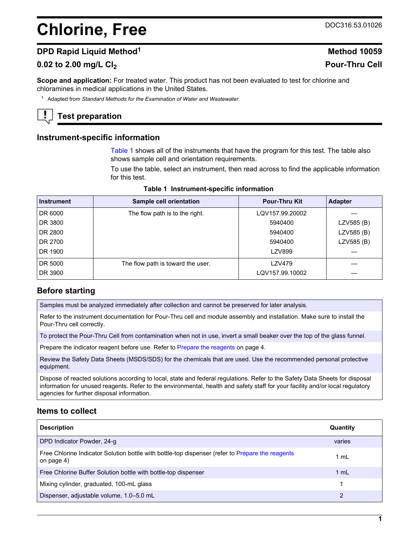# **Chlorine, Free** DOC316.53.01026

# **DPD Rapid Liquid Method<sup>1</sup> <b>Method** 10059

# **0.02 to 2.00 mg/L Cl<sup>2</sup> Pour-Thru Cell**

**Scope and application:** For treated water. This product has not been evaluated to test for chlorine and chloramines in medical applications in the United States.

<sup>1</sup> Adapted from *Standard Methods for the Examination of Water and Wastewater*.

# **Test preparation**

#### **Instrument-specific information**

[Table 1](#page-0-0) shows all of the instruments that have the program for this test. The table also shows sample cell and orientation requirements.

To use the table, select an instrument, then read across to find the applicable information for this test.

<span id="page-0-1"></span><span id="page-0-0"></span>

| <b>Instrument</b> | Sample cell orientation           | <b>Pour-Thru Kit</b> | <b>Adapter</b> |
|-------------------|-----------------------------------|----------------------|----------------|
| DR 6000           | The flow path is to the right.    | LQV157.99.20002      |                |
| DR 3800           |                                   | 5940400              | LZV585 (B)     |
| DR 2800           |                                   | 5940400              | LZV585 (B)     |
| DR 2700           |                                   | 5940400              | LZV585 (B)     |
| DR 1900           |                                   | LZV899               |                |
| DR 5000           | The flow path is toward the user. | LZV479               |                |
| DR 3900           |                                   | LQV157.99.10002      |                |

#### **Table 1 Instrument-specific information**

# **Before starting**

Samples must be analyzed immediately after collection and cannot be preserved for later analysis.

Refer to the instrument documentation for Pour-Thru cell and module assembly and installation. Make sure to install the Pour-Thru cell correctly.

To protect the Pour-Thru Cell from contamination when not in use, invert a small beaker over the top of the glass funnel.

Prepare the indicator reagent before use. Refer to [Prepare the reagents](#page-3-0) on page 4.

Review the Safety Data Sheets (MSDS/SDS) for the chemicals that are used. Use the recommended personal protective equipment.

Dispose of reacted solutions according to local, state and federal regulations. Refer to the Safety Data Sheets for disposal information for unused reagents. Refer to the environmental, health and safety staff for your facility and/or local regulatory agencies for further disposal information.

# **Items to collect**

| <b>Description</b>                                                                                             | Quantity |
|----------------------------------------------------------------------------------------------------------------|----------|
| DPD Indicator Powder, 24-g                                                                                     | varies   |
| Free Chlorine Indicator Solution bottle with bottle-top dispenser (refer to Prepare the reagents<br>on page 4) | 1 ml     |
| Free Chlorine Buffer Solution bottle with bottle-top dispenser                                                 | 1 mL     |
| Mixing cylinder, graduated, 100-mL glass                                                                       |          |
| Dispenser, adjustable volume, 1.0-5.0 mL                                                                       | 2        |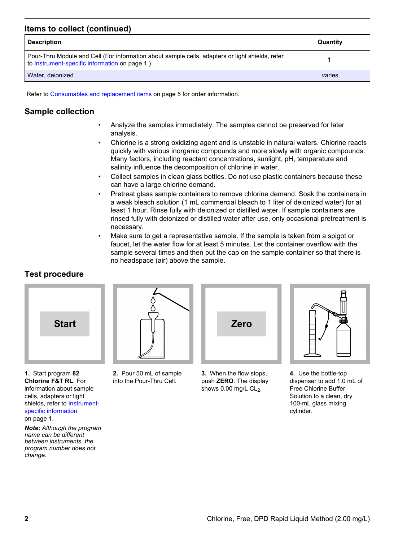# **Items to collect (continued)**

| <b>Description</b>                                                                                                                                | Quantity |
|---------------------------------------------------------------------------------------------------------------------------------------------------|----------|
| Pour-Thru Module and Cell (For information about sample cells, adapters or light shields, refer<br>to Instrument-specific information on page 1.) |          |
| Water, deionized                                                                                                                                  | varies   |

Refer to [Consumables and replacement items](#page-4-0) on page 5 for order information.

# **Sample collection**

- Analyze the samples immediately. The samples cannot be preserved for later analysis.
- Chlorine is a strong oxidizing agent and is unstable in natural waters. Chlorine reacts quickly with various inorganic compounds and more slowly with organic compounds. Many factors, including reactant concentrations, sunlight, pH, temperature and salinity influence the decomposition of chlorine in water.
- Collect samples in clean glass bottles. Do not use plastic containers because these can have a large chlorine demand.
- Pretreat glass sample containers to remove chlorine demand. Soak the containers in a weak bleach solution (1 mL commercial bleach to 1 liter of deionized water) for at least 1 hour. Rinse fully with deionized or distilled water. If sample containers are rinsed fully with deionized or distilled water after use, only occasional pretreatment is necessary.
- Make sure to get a representative sample. If the sample is taken from a spigot or faucet, let the water flow for at least 5 minutes. Let the container overflow with the sample several times and then put the cap on the sample container so that there is no headspace (air) above the sample.

# **Test procedure**



**1.** Start program **82 Chlorine F&T RL**. For information about sample cells, adapters or light shields, refer to [Instrument](#page-0-1)[specific information](#page-0-1)

on page 1.

*Note: Although the program name can be different between instruments, the program number does not change.*



**2.** Pour 50 mL of sample into the Pour-Thru Cell.



**3.** When the flow stops, push **ZERO**. The display shows  $0.00$  mg/L  $CL<sub>2</sub>$ .



**4.** Use the bottle-top dispenser to add 1.0 mL of Free Chlorine Buffer Solution to a clean, dry 100-mL glass mixing cylinder.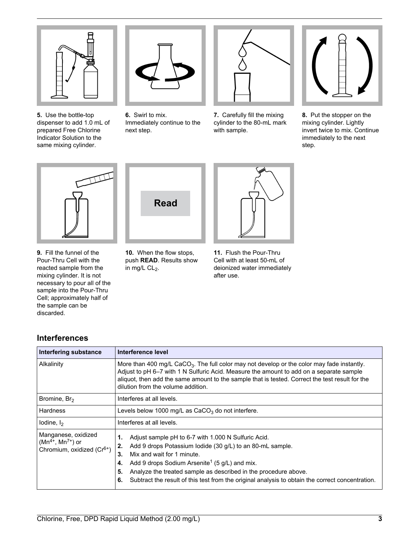

**5.** Use the bottle-top dispenser to add 1.0 mL of prepared Free Chlorine Indicator Solution to the same mixing cylinder.



**6.** Swirl to mix. Immediately continue to the next step.



**7.** Carefully fill the mixing cylinder to the 80-mL mark with sample.



**8.** Put the stopper on the mixing cylinder. Lightly invert twice to mix. Continue immediately to the next step.



**9.** Fill the funnel of the Pour-Thru Cell with the reacted sample from the mixing cylinder. It is not necessary to pour all of the sample into the Pour-Thru Cell; approximately half of the sample can be discarded.

**Interferences**



**10.** When the flow stops, push **READ**. Results show in mg/L  $CL<sub>2</sub>$ .



**11.** Flush the Pour-Thru Cell with at least 50-mL of deionized water immediately after use.

| <b>Interfering substance</b>                                                             | Interference level                                                                                                                                                                                                                                                                                                                                                                                                     |  |  |
|------------------------------------------------------------------------------------------|------------------------------------------------------------------------------------------------------------------------------------------------------------------------------------------------------------------------------------------------------------------------------------------------------------------------------------------------------------------------------------------------------------------------|--|--|
| Alkalinity                                                                               | More than 400 mg/L CaCO <sub>3</sub> . The full color may not develop or the color may fade instantly.<br>Adjust to pH 6–7 with 1 N Sulfuric Acid. Measure the amount to add on a separate sample<br>aliquot, then add the same amount to the sample that is tested. Correct the test result for the<br>dilution from the volume addition.                                                                             |  |  |
| Bromine, Br <sub>2</sub>                                                                 | Interferes at all levels.                                                                                                                                                                                                                                                                                                                                                                                              |  |  |
| Hardness                                                                                 | Levels below 1000 mg/L as $CaCO3$ do not interfere.                                                                                                                                                                                                                                                                                                                                                                    |  |  |
| lodine, $I_2$                                                                            | Interferes at all levels.                                                                                                                                                                                                                                                                                                                                                                                              |  |  |
| Manganese, oxidized<br>$(Mn^{4+}, Mn^{7+})$ or<br>Chromium, oxidized (Cr <sup>6+</sup> ) | Adjust sample pH to 6-7 with 1.000 N Sulfuric Acid.<br>1.<br>Add 9 drops Potassium lodide (30 g/L) to an 80-mL sample.<br>2.<br>Mix and wait for 1 minute.<br>3.<br>Add 9 drops Sodium Arsenite <sup>1</sup> (5 g/L) and mix.<br>4.<br>Analyze the treated sample as described in the procedure above.<br>5.<br>Subtract the result of this test from the original analysis to obtain the correct concentration.<br>6. |  |  |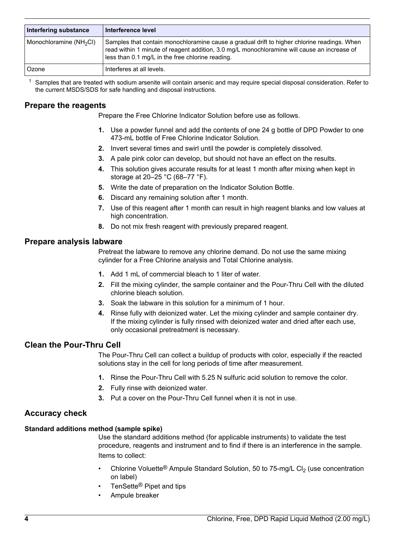| Interfering substance               | ∣ Interference level                                                                                                                                                                                                                           |
|-------------------------------------|------------------------------------------------------------------------------------------------------------------------------------------------------------------------------------------------------------------------------------------------|
| Monochloramine (NH <sub>2</sub> CI) | Samples that contain monochloramine cause a gradual drift to higher chlorine readings. When<br>read within 1 minute of reagent addition, 3.0 mg/L monochloramine will cause an increase of<br>less than 0.1 mg/L in the free chlorine reading. |
| l Ozone                             | Interferes at all levels.                                                                                                                                                                                                                      |

<sup>1</sup> Samples that are treated with sodium arsenite will contain arsenic and may require special disposal consideration. Refer to the current MSDS/SDS for safe handling and disposal instructions.

# <span id="page-3-0"></span>**Prepare the reagents**

Prepare the Free Chlorine Indicator Solution before use as follows.

- **1.** Use a powder funnel and add the contents of one 24 g bottle of DPD Powder to one 473-mL bottle of Free Chlorine Indicator Solution.
- **2.** Invert several times and swirl until the powder is completely dissolved.
- **3.** A pale pink color can develop, but should not have an effect on the results.
- **4.** This solution gives accurate results for at least 1 month after mixing when kept in storage at 20–25 °C (68–77 °F).
- **5.** Write the date of preparation on the Indicator Solution Bottle.
- **6.** Discard any remaining solution after 1 month.
- **7.** Use of this reagent after 1 month can result in high reagent blanks and low values at high concentration.
- **8.** Do not mix fresh reagent with previously prepared reagent.

#### **Prepare analysis labware**

Pretreat the labware to remove any chlorine demand. Do not use the same mixing cylinder for a Free Chlorine analysis and Total Chlorine analysis.

- **1.** Add 1 mL of commercial bleach to 1 liter of water.
- **2.** Fill the mixing cylinder, the sample container and the Pour-Thru Cell with the diluted chlorine bleach solution.
- **3.** Soak the labware in this solution for a minimum of 1 hour.
- **4.** Rinse fully with deionized water. Let the mixing cylinder and sample container dry. If the mixing cylinder is fully rinsed with deionized water and dried after each use, only occasional pretreatment is necessary.

### **Clean the Pour-Thru Cell**

The Pour-Thru Cell can collect a buildup of products with color, especially if the reacted solutions stay in the cell for long periods of time after measurement.

- **1.** Rinse the Pour-Thru Cell with 5.25 N sulfuric acid solution to remove the color.
- **2.** Fully rinse with deionized water.
- **3.** Put a cover on the Pour-Thru Cell funnel when it is not in use.

# **Accuracy check**

#### **Standard additions method (sample spike)**

Use the standard additions method (for applicable instruments) to validate the test procedure, reagents and instrument and to find if there is an interference in the sample. Items to collect:

- Chlorine Voluette<sup>®</sup> Ampule Standard Solution, 50 to 75-mg/L Cl<sub>2</sub> (use concentration on label)
- TenSette<sup>®</sup> Pipet and tips
- Ampule breaker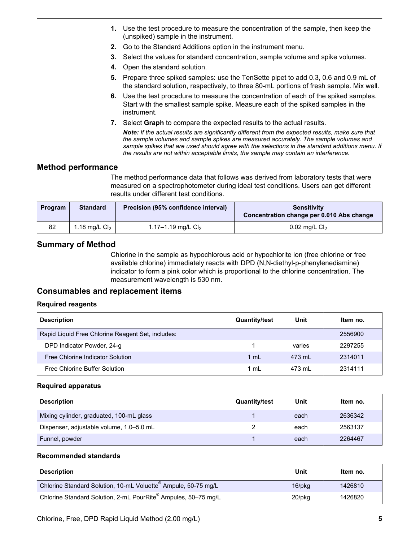- **1.** Use the test procedure to measure the concentration of the sample, then keep the (unspiked) sample in the instrument.
- **2.** Go to the Standard Additions option in the instrument menu.
- **3.** Select the values for standard concentration, sample volume and spike volumes.
- **4.** Open the standard solution.
- **5.** Prepare three spiked samples: use the TenSette pipet to add 0.3, 0.6 and 0.9 mL of the standard solution, respectively, to three 80-mL portions of fresh sample. Mix well.
- **6.** Use the test procedure to measure the concentration of each of the spiked samples. Start with the smallest sample spike. Measure each of the spiked samples in the instrument.
- **7.** Select **Graph** to compare the expected results to the actual results.

*Note: If the actual results are significantly different from the expected results, make sure that the sample volumes and sample spikes are measured accurately. The sample volumes and sample spikes that are used should agree with the selections in the standard additions menu. If the results are not within acceptable limits, the sample may contain an interference.*

# **Method performance**

The method performance data that follows was derived from laboratory tests that were measured on a spectrophotometer during ideal test conditions. Users can get different results under different test conditions.

| Program | <b>Standard</b> | Precision (95% confidence interval) | <b>Sensitivity</b><br>Concentration change per 0.010 Abs change |
|---------|-----------------|-------------------------------------|-----------------------------------------------------------------|
| 82      | 1.18 mg/L $Cl2$ | 1.17–1.19 mg/L $Cl2$                | 0.02 mg/L $Cl2$                                                 |

# **Summary of Method**

Chlorine in the sample as hypochlorous acid or hypochlorite ion (free chlorine or free available chlorine) immediately reacts with DPD (N,N-diethyl-p-phenylenediamine) indicator to form a pink color which is proportional to the chlorine concentration. The measurement wavelength is 530 nm.

# **Consumables and replacement items**

#### **Required reagents**

<span id="page-4-0"></span>

| <b>Description</b>                                | <b>Quantity/test</b> | Unit   | Item no. |
|---------------------------------------------------|----------------------|--------|----------|
| Rapid Liquid Free Chlorine Reagent Set, includes: |                      |        | 2556900  |
| DPD Indicator Powder, 24-g                        |                      | varies | 2297255  |
| Free Chlorine Indicator Solution                  | $1 \text{ ml}$       | 473 ml | 2314011  |
| Free Chlorine Buffer Solution                     | 1 mL                 | 473 ml | 2314111  |

#### **Required apparatus**

| <b>Description</b>                       | <b>Quantity/test</b> | Unit | Item no. |
|------------------------------------------|----------------------|------|----------|
| Mixing cylinder, graduated, 100-mL glass |                      | each | 2636342  |
| Dispenser, adjustable volume, 1.0–5.0 mL |                      | each | 2563137  |
| Funnel, powder                           |                      | each | 2264467  |

#### **Recommended standards**

| <b>Description</b>                                                         | Unit         | ltem no. |
|----------------------------------------------------------------------------|--------------|----------|
| Chlorine Standard Solution, 10-mL Voluette <sup>®</sup> Ampule, 50-75 mg/L | $16$ /p $kg$ | 1426810  |
| Chlorine Standard Solution, 2-mL PourRite® Ampules, 50–75 mg/L             | 20/pkg       | 1426820  |